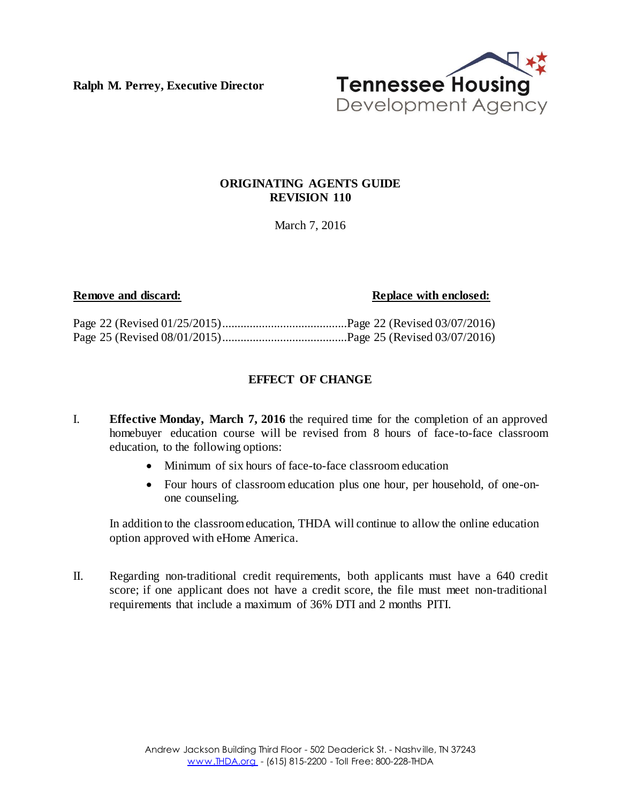**Ralph M. Perrey, Executive Director**



### **ORIGINATING AGENTS GUIDE REVISION 110**

March 7, 2016

#### **Remove and discard: Replace with enclosed:**

### **EFFECT OF CHANGE**

- I. **Effective Monday, March 7, 2016** the required time for the completion of an approved homebuyer education course will be revised from 8 hours of face-to-face classroom education, to the following options:
	- Minimum of six hours of face-to-face classroom education
	- Four hours of classroom education plus one hour, per household, of one-onone counseling.

In addition to the classroom education, THDA will continue to allow the online education option approved with eHome America.

II. Regarding non-traditional credit requirements, both applicants must have a 640 credit score; if one applicant does not have a credit score, the file must meet non-traditional requirements that include a maximum of 36% DTI and 2 months PITI.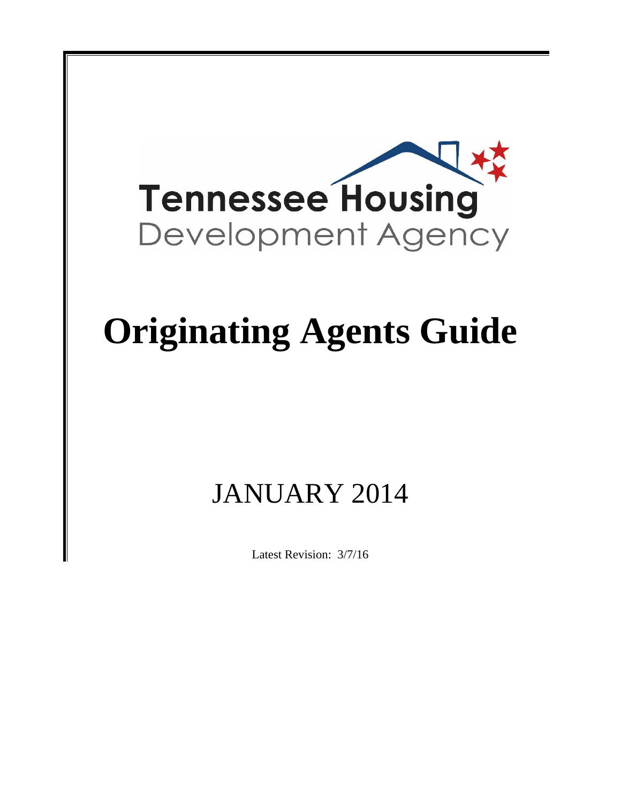

# **Originating Agents Guide**

## JANUARY 2014

Latest Revision: 3/7/16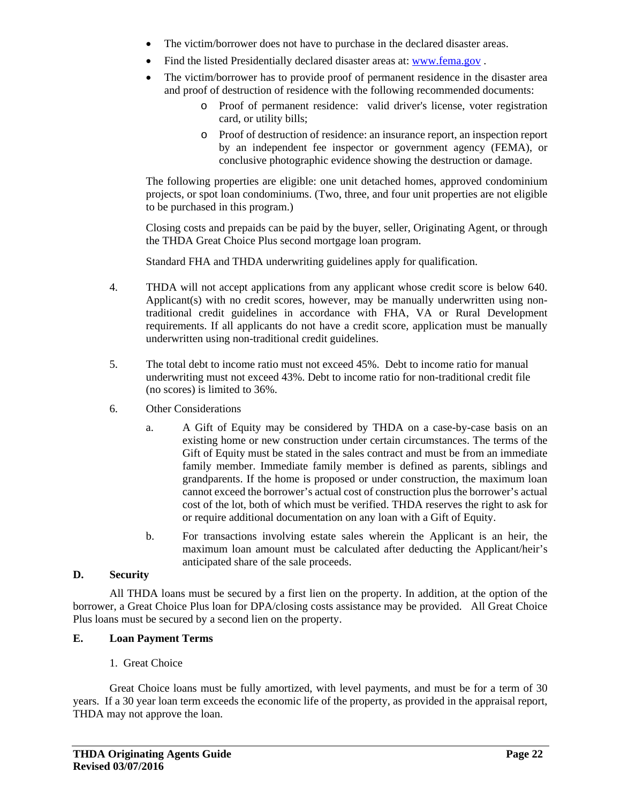- The victim/borrower does not have to purchase in the declared disaster areas.
- Find the listed Presidentially declared disaster areas at: www.fema.gov .
- The victim/borrower has to provide proof of permanent residence in the disaster area and proof of destruction of residence with the following recommended documents:
	- o Proof of permanent residence: valid driver's license, voter registration card, or utility bills;
	- o Proof of destruction of residence: an insurance report, an inspection report by an independent fee inspector or government agency (FEMA), or conclusive photographic evidence showing the destruction or damage.

The following properties are eligible: one unit detached homes, approved condominium projects, or spot loan condominiums. (Two, three, and four unit properties are not eligible to be purchased in this program.)

Closing costs and prepaids can be paid by the buyer, seller, Originating Agent, or through the THDA Great Choice Plus second mortgage loan program.

Standard FHA and THDA underwriting guidelines apply for qualification.

- 4. THDA will not accept applications from any applicant whose credit score is below 640. Applicant(s) with no credit scores, however, may be manually underwritten using nontraditional credit guidelines in accordance with FHA, VA or Rural Development requirements. If all applicants do not have a credit score, application must be manually underwritten using non-traditional credit guidelines.
- 5. The total debt to income ratio must not exceed 45%. Debt to income ratio for manual underwriting must not exceed 43%. Debt to income ratio for non-traditional credit file (no scores) is limited to 36%.
- 6. Other Considerations
	- a. A Gift of Equity may be considered by THDA on a case-by-case basis on an existing home or new construction under certain circumstances. The terms of the Gift of Equity must be stated in the sales contract and must be from an immediate family member. Immediate family member is defined as parents, siblings and grandparents. If the home is proposed or under construction, the maximum loan cannot exceed the borrower's actual cost of construction plus the borrower's actual cost of the lot, both of which must be verified. THDA reserves the right to ask for or require additional documentation on any loan with a Gift of Equity.
	- b. For transactions involving estate sales wherein the Applicant is an heir, the maximum loan amount must be calculated after deducting the Applicant/heir's anticipated share of the sale proceeds.

#### **D. Security**

All THDA loans must be secured by a first lien on the property. In addition, at the option of the borrower, a Great Choice Plus loan for DPA/closing costs assistance may be provided. All Great Choice Plus loans must be secured by a second lien on the property.

#### **E. Loan Payment Terms**

#### 1. Great Choice

Great Choice loans must be fully amortized, with level payments, and must be for a term of 30 years. If a 30 year loan term exceeds the economic life of the property, as provided in the appraisal report, THDA may not approve the loan.